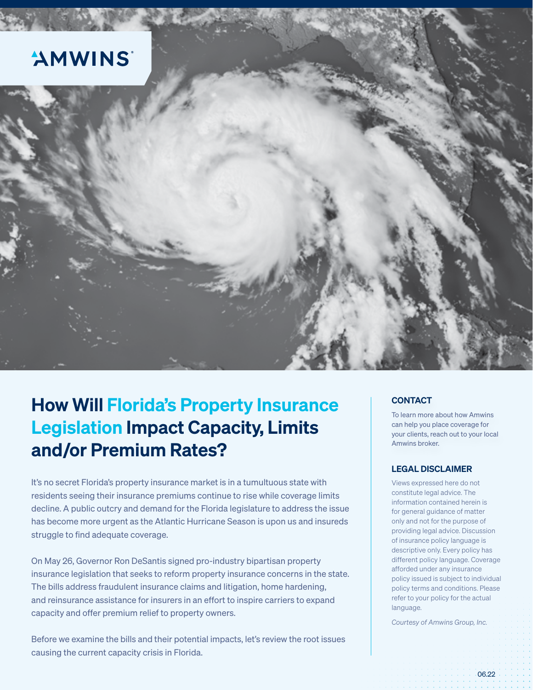

# How Will Florida's Property Insurance Legislation Impact Capacity, Limits and/or Premium Rates?

It's no secret Florida's property insurance market is in a tumultuous state with residents seeing their insurance premiums continue to rise while coverage limits decline. A public outcry and demand for the Florida legislature to address the issue has become more urgent as the Atlantic Hurricane Season is upon us and insureds struggle to find adequate coverage.

On May 26, Governor Ron DeSantis signed pro-industry bipartisan property insurance legislation that seeks to reform property insurance concerns in the state. The bills address fraudulent insurance claims and litigation, home hardening, and reinsurance assistance for insurers in an effort to inspire carriers to expand capacity and offer premium relief to property owners.

Before we examine the bills and their potential impacts, let's review the root issues causing the current capacity crisis in Florida.

### **CONTACT**

To learn more about how Amwins can help you place coverage for your clients, reach out to your local Amwins broker.

### LEGAL DISCLAIMER

Views expressed here do not constitute legal advice. The information contained herein is for general guidance of matter only and not for the purpose of providing legal advice. Discussion of insurance policy language is descriptive only. Every policy has different policy language. Coverage afforded under any insurance policy issued is subject to individual policy terms and conditions. Please refer to your policy for the actual language.

*Courtesy of Amwins Group, Inc.*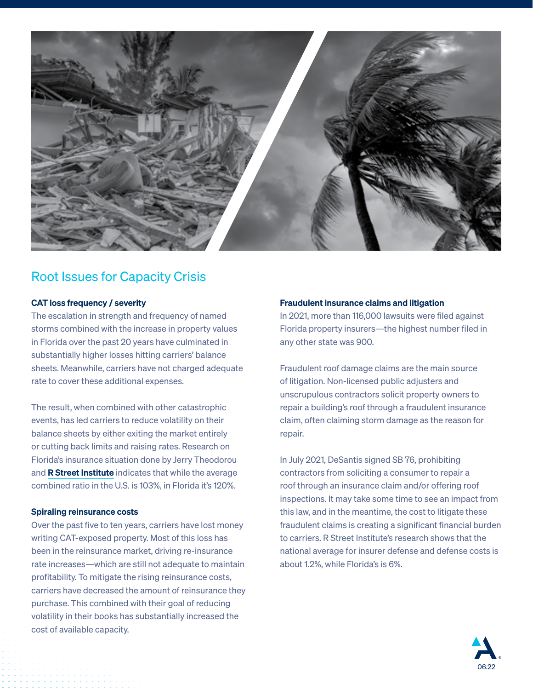

## Root Issues for Capacity Crisis

### CAT loss frequency / severity

The escalation in strength and frequency of named storms combined with the increase in property values in Florida over the past 20 years have culminated in substantially higher losses hitting carriers' balance sheets. Meanwhile, carriers have not charged adequate rate to cover these additional expenses.

The result, when combined with other catastrophic events, has led carriers to reduce volatility on their balance sheets by either exiting the market entirely or cutting back limits and raising rates. Research on Florida's insurance situation done by Jerry Theodorou and **[R Street Institute](https://www.rstreet.org/)** indicates that while the average combined ratio in the U.S. is 103%, in Florida it's 120%.

### Spiraling reinsurance costs

Over the past five to ten years, carriers have lost money writing CAT-exposed property. Most of this loss has been in the reinsurance market, driving re-insurance rate increases—which are still not adequate to maintain profitability. To mitigate the rising reinsurance costs, carriers have decreased the amount of reinsurance they purchase. This combined with their goal of reducing volatility in their books has substantially increased the cost of available capacity.

#### Fraudulent insurance claims and litigation

In 2021, more than 116,000 lawsuits were filed against Florida property insurers—the highest number filed in any other state was 900.

Fraudulent roof damage claims are the main source of litigation. Non-licensed public adjusters and unscrupulous contractors solicit property owners to repair a building's roof through a fraudulent insurance claim, often claiming storm damage as the reason for repair.

In July 2021, DeSantis signed SB 76, prohibiting contractors from soliciting a consumer to repair a roof through an insurance claim and/or offering roof inspections. It may take some time to see an impact from this law, and in the meantime, the cost to litigate these fraudulent claims is creating a significant financial burden to carriers. R Street Institute's research shows that the national average for insurer defense and defense costs is about 1.2%, while Florida's is 6%.

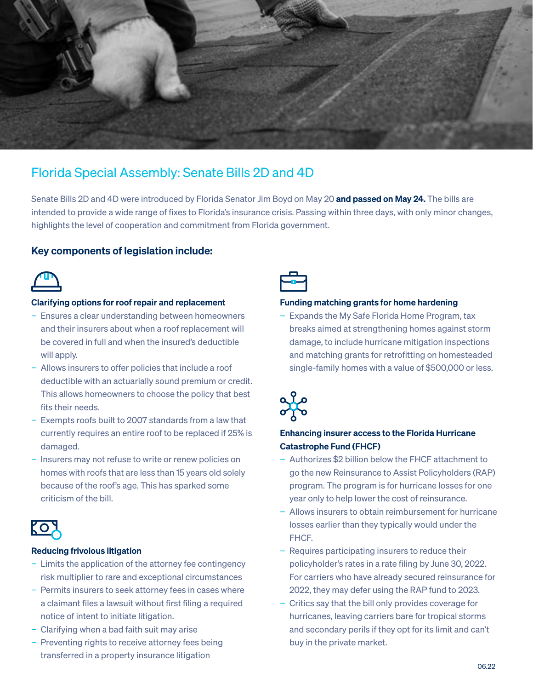

# Florida Special Assembly: Senate Bills 2D and 4D

Senate Bills 2D and 4D were introduced by Florida Senator Jim Boyd on May 20 [and passed on May 24.](https://www.flsenate.gov/Media/PressRelease/Show/4200) The bills are intended to provide a wide range of fixes to Florida's insurance crisis. Passing within three days, with only minor changes, highlights the level of cooperation and commitment from Florida government.

### Key components of legislation include:



### Clarifying options for roof repair and replacement

- − Ensures a clear understanding between homeowners and their insurers about when a roof replacement will be covered in full and when the insured's deductible will apply.
- − Allows insurers to offer policies that include a roof deductible with an actuarially sound premium or credit. This allows homeowners to choose the policy that best fits their needs.
- − Exempts roofs built to 2007 standards from a law that currently requires an entire roof to be replaced if 25% is damaged.
- Insurers may not refuse to write or renew policies on homes with roofs that are less than 15 years old solely because of the roof's age. This has sparked some criticism of the bill.



### Reducing frivolous litigation

- − Limits the application of the attorney fee contingency risk multiplier to rare and exceptional circumstances
- − Permits insurers to seek attorney fees in cases where a claimant files a lawsuit without first filing a required notice of intent to initiate litigation.
- − Clarifying when a bad faith suit may arise
- Preventing rights to receive attorney fees being transferred in a property insurance litigation



#### Funding matching grants for home hardening

− Expands the My Safe Florida Home Program, tax breaks aimed at strengthening homes against storm damage, to include hurricane mitigation inspections and matching grants for retrofitting on homesteaded single-family homes with a value of \$500,000 or less.



### Enhancing insurer access to the Florida Hurricane Catastrophe Fund (FHCF)

- − Authorizes \$2 billion below the FHCF attachment to go the new Reinsurance to Assist Policyholders (RAP) program. The program is for hurricane losses for one year only to help lower the cost of reinsurance.
- − Allows insurers to obtain reimbursement for hurricane losses earlier than they typically would under the FHCF.
- − Requires participating insurers to reduce their policyholder's rates in a rate filing by June 30, 2022. For carriers who have already secured reinsurance for 2022, they may defer using the RAP fund to 2023.
- − Critics say that the bill only provides coverage for hurricanes, leaving carriers bare for tropical storms and secondary perils if they opt for its limit and can't buy in the private market.